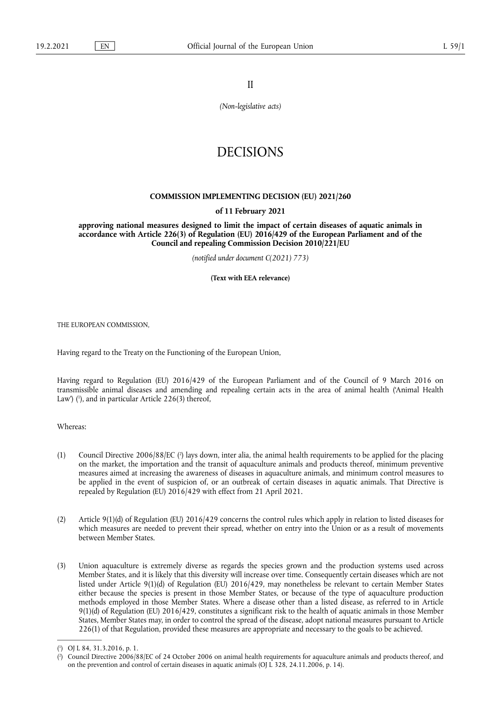II

*(Non-legislative acts)* 

# DECISIONS

## **COMMISSION IMPLEMENTING DECISION (EU) 2021/260**

#### **of 11 February 2021**

**approving national measures designed to limit the impact of certain diseases of aquatic animals in accordance with Article 226(3) of Regulation (EU) 2016/429 of the European Parliament and of the Council and repealing Commission Decision 2010/221/EU** 

*(notified under document C(2021) 773)* 

**(Text with EEA relevance)** 

THE EUROPEAN COMMISSION,

Having regard to the Treaty on the Functioning of the European Union,

<span id="page-0-2"></span>Having regard to Regulation (EU) 2016/429 of the European Parliament and of the Council of 9 March 2016 on transmissible animal diseases and amending and repealing certain acts in the area of animal health ('Animal Health Law') (<sup>1</sup>[\),](#page-0-0) and in particular Article 226(3) thereof,

Whereas:

- <span id="page-0-3"></span>[\(](#page-0-1)1) Council Directive 2006/88/EC (?) lays down, inter alia, the animal health requirements to be applied for the placing on the market, the importation and the transit of aquaculture animals and products thereof, minimum preventive measures aimed at increasing the awareness of diseases in aquaculture animals, and minimum control measures to be applied in the event of suspicion of, or an outbreak of certain diseases in aquatic animals. That Directive is repealed by Regulation (EU) 2016/429 with effect from 21 April 2021.
- (2) Article 9(1)(d) of Regulation (EU) 2016/429 concerns the control rules which apply in relation to listed diseases for which measures are needed to prevent their spread, whether on entry into the Union or as a result of movements between Member States.
- (3) Union aquaculture is extremely diverse as regards the species grown and the production systems used across Member States, and it is likely that this diversity will increase over time. Consequently certain diseases which are not listed under Article 9(1)(d) of Regulation (EU) 2016/429, may nonetheless be relevant to certain Member States either because the species is present in those Member States, or because of the type of aquaculture production methods employed in those Member States. Where a disease other than a listed disease, as referred to in Article 9(1)(d) of Regulation (EU) 2016/429, constitutes a significant risk to the health of aquatic animals in those Member States, Member States may, in order to control the spread of the disease, adopt national measures pursuant to Article 226(1) of that Regulation, provided these measures are appropriate and necessary to the goals to be achieved.

<span id="page-0-0"></span>[<sup>\(</sup>](#page-0-2) 1 ) OJ L 84, 31.3.2016, p. 1.

<span id="page-0-1"></span>[<sup>\(</sup>](#page-0-3) 2 ) Council Directive 2006/88/EC of 24 October 2006 on animal health requirements for aquaculture animals and products thereof, and on the prevention and control of certain diseases in aquatic animals (OJ L 328, 24.11.2006, p. 14).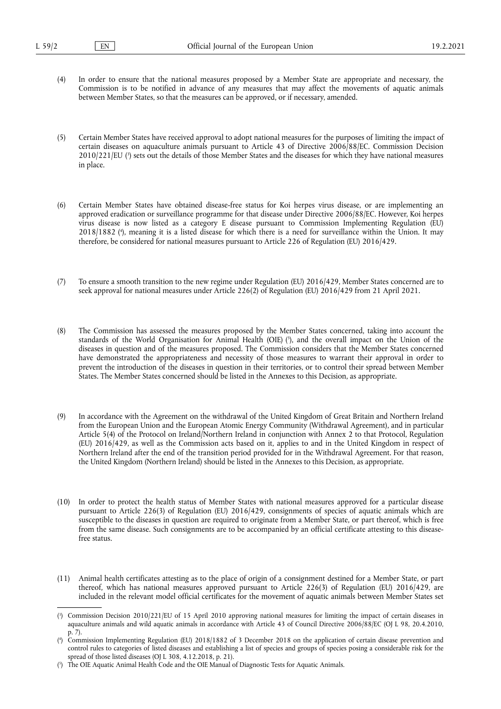- (4) In order to ensure that the national measures proposed by a Member State are appropriate and necessary, the Commission is to be notified in advance of any measures that may affect the movements of aquatic animals between Member States, so that the measures can be approved, or if necessary, amended.
- <span id="page-1-3"></span>(5) Certain Member States have received approval to adopt national measures for the purposes of limiting the impact of certain diseases on aquaculture animals pursuant to Article 43 of Directive 2006/88/EC. Commission Decision 2010/221/EU [\(](#page-1-0) 3 ) sets out the details of those Member States and the diseases for which they have national measures in place.
- <span id="page-1-4"></span>(6) Certain Member States have obtained disease-free status for Koi herpes virus disease, or are implementing an approved eradication or surveillance programme for that disease under Directive 2006/88/EC. However, Koi herpes virus disease is now listed as a category E disease pursuant to Commission Implementing Regulation (EU) 2018/1882 ( 4 [\),](#page-1-1) meaning it is a listed disease for which there is a need for surveillance within the Union. It may therefore, be considered for national measures pursuant to Article 226 of Regulation (EU) 2016/429.
- (7) To ensure a smooth transition to the new regime under Regulation (EU) 2016/429, Member States concerned are to seek approval for national measures under Article 226(2) of Regulation (EU) 2016/429 from 21 April 2021.
- <span id="page-1-5"></span>(8) The Commission has assessed the measures proposed by the Member States concerned, taking into account the standards of the World Organisation for Animal Health (OIE) ( 5 [\),](#page-1-2) and the overall impact on the Union of the diseases in question and of the measures proposed. The Commission considers that the Member States concerned have demonstrated the appropriateness and necessity of those measures to warrant their approval in order to prevent the introduction of the diseases in question in their territories, or to control their spread between Member States. The Member States concerned should be listed in the Annexes to this Decision, as appropriate.
- (9) In accordance with the Agreement on the withdrawal of the United Kingdom of Great Britain and Northern Ireland from the European Union and the European Atomic Energy Community (Withdrawal Agreement), and in particular Article 5(4) of the Protocol on Ireland/Northern Ireland in conjunction with Annex 2 to that Protocol, Regulation (EU) 2016/429, as well as the Commission acts based on it, applies to and in the United Kingdom in respect of Northern Ireland after the end of the transition period provided for in the Withdrawal Agreement. For that reason, the United Kingdom (Northern Ireland) should be listed in the Annexes to this Decision, as appropriate.
- (10) In order to protect the health status of Member States with national measures approved for a particular disease pursuant to Article 226(3) of Regulation (EU) 2016/429, consignments of species of aquatic animals which are susceptible to the diseases in question are required to originate from a Member State, or part thereof, which is free from the same disease. Such consignments are to be accompanied by an official certificate attesting to this diseasefree status.
- (11) Animal health certificates attesting as to the place of origin of a consignment destined for a Member State, or part thereof, which has national measures approved pursuant to Article 226(3) of Regulation (EU) 2016/429, are included in the relevant model official certificates for the movement of aquatic animals between Member States set

<span id="page-1-0"></span>[<sup>\(</sup>](#page-1-3) 3 ) Commission Decision 2010/221/EU of 15 April 2010 approving national measures for limiting the impact of certain diseases in aquaculture animals and wild aquatic animals in accordance with Article 43 of Council Directive 2006/88/EC (OJ L 98, 20.4.2010, p. 7).

<span id="page-1-1"></span>[<sup>\(</sup>](#page-1-4) 4 ) Commission Implementing Regulation (EU) 2018/1882 of 3 December 2018 on the application of certain disease prevention and control rules to categories of listed diseases and establishing a list of species and groups of species posing a considerable risk for the spread of those listed diseases (OJ L 308, 4.12.2018, p. 21).

<span id="page-1-2"></span><sup>(</sup> 5 [\)](#page-1-5) The OIE Aquatic Animal Health Code and the OIE Manual of Diagnostic Tests for Aquatic Animals.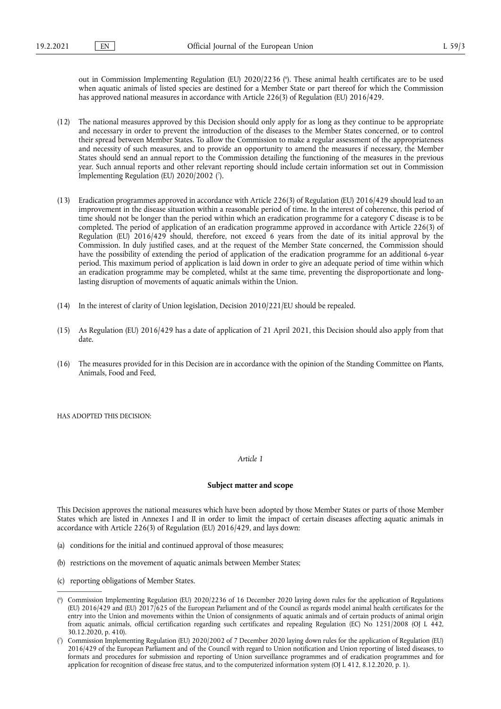<span id="page-2-2"></span>out in Commission Implementing Regulation (EU) 2020/2236 ( 6 [\).](#page-2-0) These animal health certificates are to be used when aquatic animals of listed species are destined for a Member State or part thereof for which the Commission has approved national measures in accordance with Article 226(3) of Regulation (EU) 2016/429.

- (12) The national measures approved by this Decision should only apply for as long as they continue to be appropriate and necessary in order to prevent the introduction of the diseases to the Member States concerned, or to control their spread between Member States. To allow the Commission to make a regular assessment of the appropriateness and necessity of such measures, and to provide an opportunity to amend the measures if necessary, the Member States should send an annual report to the Commission detailing the functioning of the measures in the previous year. Such annual reports and other relevant reporting should include certain information set out in Commission Implementing Regulation (EU) 2020/2002 (7[\).](#page-2-1)
- <span id="page-2-3"></span>(13) Eradication programmes approved in accordance with Article 226(3) of Regulation (EU) 2016/429 should lead to an improvement in the disease situation within a reasonable period of time. In the interest of coherence, this period of time should not be longer than the period within which an eradication programme for a category C disease is to be completed. The period of application of an eradication programme approved in accordance with Article 226(3) of Regulation (EU) 2016/429 should, therefore, not exceed 6 years from the date of its initial approval by the Commission. In duly justified cases, and at the request of the Member State concerned, the Commission should have the possibility of extending the period of application of the eradication programme for an additional 6-year period. This maximum period of application is laid down in order to give an adequate period of time within which an eradication programme may be completed, whilst at the same time, preventing the disproportionate and longlasting disruption of movements of aquatic animals within the Union.
- (14) In the interest of clarity of Union legislation, Decision 2010/221/EU should be repealed.
- (15) As Regulation (EU) 2016/429 has a date of application of 21 April 2021, this Decision should also apply from that date.
- (16) The measures provided for in this Decision are in accordance with the opinion of the Standing Committee on Plants, Animals, Food and Feed,

HAS ADOPTED THIS DECISION:

## *Article 1*

## **Subject matter and scope**

This Decision approves the national measures which have been adopted by those Member States or parts of those Member States which are listed in Annexes I and II in order to limit the impact of certain diseases affecting aquatic animals in accordance with Article 226(3) of Regulation (EU) 2016/429, and lays down:

- (a) conditions for the initial and continued approval of those measures;
- (b) restrictions on the movement of aquatic animals between Member States;
- (c) reporting obligations of Member States.

<span id="page-2-0"></span>[<sup>\(</sup>](#page-2-2) 6 ) Commission Implementing Regulation (EU) 2020/2236 of 16 December 2020 laying down rules for the application of Regulations (EU) 2016/429 and (EU) 2017/625 of the European Parliament and of the Council as regards model animal health certificates for the entry into the Union and movements within the Union of consignments of aquatic animals and of certain products of animal origin from aquatic animals, official certification regarding such certificates and repealing Regulation (EC) No 1251/2008 (OJ L 442, 30.12.2020, p. 410).

<span id="page-2-1"></span>[<sup>\(</sup>](#page-2-3) 7 ) Commission Implementing Regulation (EU) 2020/2002 of 7 December 2020 laying down rules for the application of Regulation (EU) 2016/429 of the European Parliament and of the Council with regard to Union notification and Union reporting of listed diseases, to formats and procedures for submission and reporting of Union surveillance programmes and of eradication programmes and for application for recognition of disease free status, and to the computerized information system (OJ L 412, 8.12.2020, p. 1).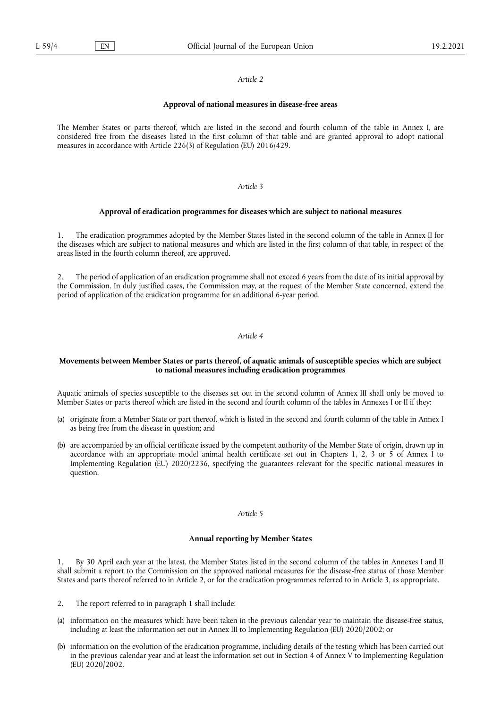#### *Article 2*

#### **Approval of national measures in disease-free areas**

The Member States or parts thereof, which are listed in the second and fourth column of the table in Annex I, are considered free from the diseases listed in the first column of that table and are granted approval to adopt national measures in accordance with Article 226(3) of Regulation (EU) 2016/429.

## *Article 3*

#### **Approval of eradication programmes for diseases which are subject to national measures**

1. The eradication programmes adopted by the Member States listed in the second column of the table in Annex II for the diseases which are subject to national measures and which are listed in the first column of that table, in respect of the areas listed in the fourth column thereof, are approved.

2. The period of application of an eradication programme shall not exceed 6 years from the date of its initial approval by the Commission. In duly justified cases, the Commission may, at the request of the Member State concerned, extend the period of application of the eradication programme for an additional 6-year period.

## *Article 4*

## **Movements between Member States or parts thereof, of aquatic animals of susceptible species which are subject to national measures including eradication programmes**

Aquatic animals of species susceptible to the diseases set out in the second column of Annex III shall only be moved to Member States or parts thereof which are listed in the second and fourth column of the tables in Annexes I or II if they:

- (a) originate from a Member State or part thereof, which is listed in the second and fourth column of the table in Annex I as being free from the disease in question; and
- (b) are accompanied by an official certificate issued by the competent authority of the Member State of origin, drawn up in accordance with an appropriate model animal health certificate set out in Chapters 1, 2, 3 or 5 of Annex I to Implementing Regulation (EU) 2020/2236, specifying the guarantees relevant for the specific national measures in question.

## *Article 5*

## **Annual reporting by Member States**

1. By 30 April each year at the latest, the Member States listed in the second column of the tables in Annexes I and II shall submit a report to the Commission on the approved national measures for the disease-free status of those Member States and parts thereof referred to in Article 2, or for the eradication programmes referred to in Article 3, as appropriate.

- 2. The report referred to in paragraph 1 shall include:
- (a) information on the measures which have been taken in the previous calendar year to maintain the disease-free status, including at least the information set out in Annex III to Implementing Regulation (EU) 2020/2002; or
- (b) information on the evolution of the eradication programme, including details of the testing which has been carried out in the previous calendar year and at least the information set out in Section 4 of Annex V to Implementing Regulation (EU) 2020/2002.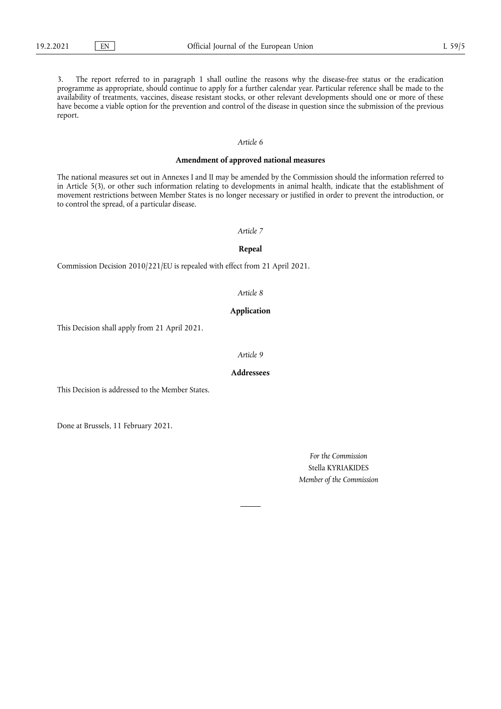3. The report referred to in paragraph 1 shall outline the reasons why the disease-free status or the eradication programme as appropriate, should continue to apply for a further calendar year. Particular reference shall be made to the availability of treatments, vaccines, disease resistant stocks, or other relevant developments should one or more of these have become a viable option for the prevention and control of the disease in question since the submission of the previous report.

## *Article 6*

## **Amendment of approved national measures**

The national measures set out in Annexes I and II may be amended by the Commission should the information referred to in Article 5(3), or other such information relating to developments in animal health, indicate that the establishment of movement restrictions between Member States is no longer necessary or justified in order to prevent the introduction, or to control the spread, of a particular disease.

## *Article 7*

#### **Repeal**

Commission Decision 2010/221/EU is repealed with effect from 21 April 2021.

## *Article 8*

## **Application**

This Decision shall apply from 21 April 2021.

#### *Article 9*

## **Addressees**

This Decision is addressed to the Member States.

Done at Brussels, 11 February 2021.

*For the Commission*  Stella KYRIAKIDES *Member of the Commission*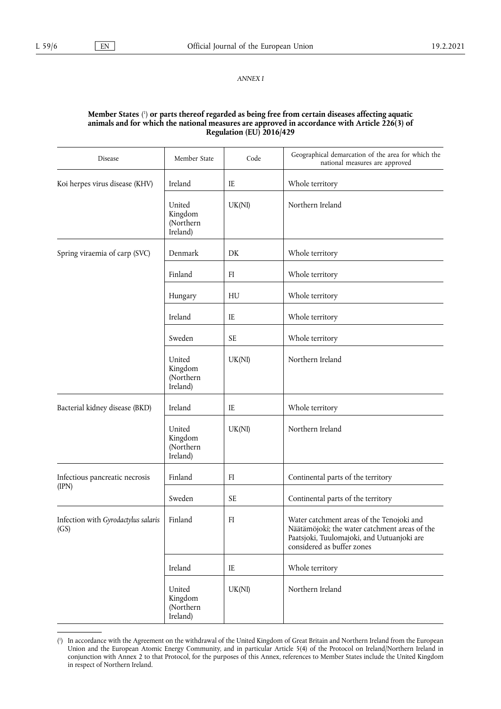## *ANNEX I*

## <span id="page-5-1"></span>**Member States** ( 1 [\)](#page-5-0) **or parts thereof regarded as being free from certain diseases affecting aquatic animals and for which the national measures are approved in accordance with Article 226(3) of Regulation (EU) 2016/429**

| Disease                                     | Member State                               | Code      | Geographical demarcation of the area for which the<br>national measures are approved                                                                                   |
|---------------------------------------------|--------------------------------------------|-----------|------------------------------------------------------------------------------------------------------------------------------------------------------------------------|
| Koi herpes virus disease (KHV)              | Ireland                                    | IE        | Whole territory                                                                                                                                                        |
|                                             | United<br>Kingdom<br>(Northern<br>Ireland) | UK(NI)    | Northern Ireland                                                                                                                                                       |
| Spring viraemia of carp (SVC)               | Denmark                                    | DK        | Whole territory                                                                                                                                                        |
|                                             | Finland                                    | FI        | Whole territory                                                                                                                                                        |
|                                             | Hungary                                    | HU        | Whole territory                                                                                                                                                        |
|                                             | Ireland                                    | IE        | Whole territory                                                                                                                                                        |
|                                             | Sweden                                     | <b>SE</b> | Whole territory                                                                                                                                                        |
|                                             | United<br>Kingdom<br>(Northern<br>Ireland) | UK(NI)    | Northern Ireland                                                                                                                                                       |
| Bacterial kidney disease (BKD)              | Ireland                                    | IE        | Whole territory                                                                                                                                                        |
|                                             | United<br>Kingdom<br>(Northern<br>Ireland) | UK(NI)    | Northern Ireland                                                                                                                                                       |
| Infectious pancreatic necrosis<br>(IPN)     | Finland                                    | FI        | Continental parts of the territory                                                                                                                                     |
|                                             | Sweden                                     | <b>SE</b> | Continental parts of the territory                                                                                                                                     |
| Infection with Gyrodactylus salaris<br>(GS) | Finland                                    | FI        | Water catchment areas of the Tenojoki and<br>Näätämöjoki; the water catchment areas of the<br>Paatsjoki, Tuulomajoki, and Uutuanjoki are<br>considered as buffer zones |
|                                             | Ireland                                    | $\rm IE$  | Whole territory                                                                                                                                                        |
|                                             | United<br>Kingdom<br>(Northern<br>Ireland) | UK(NI)    | Northern Ireland                                                                                                                                                       |

<span id="page-5-0"></span>[<sup>\(</sup>](#page-5-1) 1 ) In accordance with the Agreement on the withdrawal of the United Kingdom of Great Britain and Northern Ireland from the European Union and the European Atomic Energy Community, and in particular Article 5(4) of the Protocol on Ireland/Northern Ireland in conjunction with Annex 2 to that Protocol, for the purposes of this Annex, references to Member States include the United Kingdom in respect of Northern Ireland.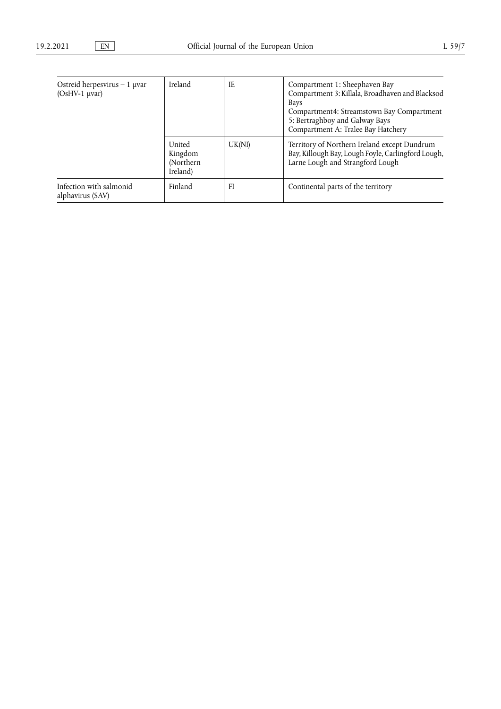| Ostreid herpesvirus $-1$ µvar<br>$(OsHV-1 \mu var)$ | Ireland                                     | IE     | Compartment 1: Sheephaven Bay<br>Compartment 3: Killala, Broadhaven and Blacksod<br>Bays<br>Compartment4: Streamstown Bay Compartment<br>5: Bertraghboy and Galway Bays<br>Compartment A: Tralee Bay Hatchery |
|-----------------------------------------------------|---------------------------------------------|--------|---------------------------------------------------------------------------------------------------------------------------------------------------------------------------------------------------------------|
|                                                     | United<br>Kingdom<br>(Northern)<br>Ireland) | UK(NI) | Territory of Northern Ireland except Dundrum<br>Bay, Killough Bay, Lough Foyle, Carlingford Lough,<br>Larne Lough and Strangford Lough                                                                        |
| Infection with salmonid<br>alphavirus (SAV)         | Finland                                     | FI     | Continental parts of the territory                                                                                                                                                                            |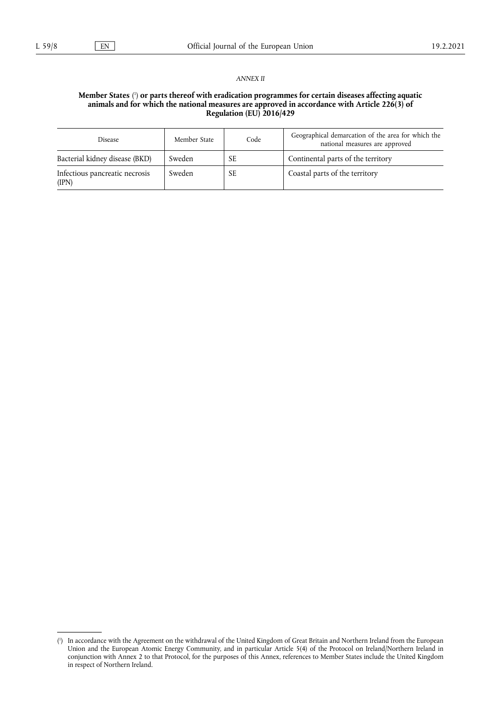## *ANNEX II*

## <span id="page-7-1"></span>**Member States** [\(](#page-7-0) 1 ) **or parts thereof with eradication programmes for certain diseases affecting aquatic animals and for which the national measures are approved in accordance with Article 226(3) of Regulation (EU) 2016/429**

| Disease                                 | Member State | Code      | Geographical demarcation of the area for which the<br>national measures are approved |
|-----------------------------------------|--------------|-----------|--------------------------------------------------------------------------------------|
| Bacterial kidney disease (BKD)          | Sweden       | <b>SE</b> | Continental parts of the territory                                                   |
| Infectious pancreatic necrosis<br>(IPN) | Sweden       | <b>SE</b> | Coastal parts of the territory                                                       |

<span id="page-7-0"></span>[<sup>\(</sup>](#page-7-1) 1 ) In accordance with the Agreement on the withdrawal of the United Kingdom of Great Britain and Northern Ireland from the European Union and the European Atomic Energy Community, and in particular Article 5(4) of the Protocol on Ireland/Northern Ireland in conjunction with Annex 2 to that Protocol, for the purposes of this Annex, references to Member States include the United Kingdom in respect of Northern Ireland.